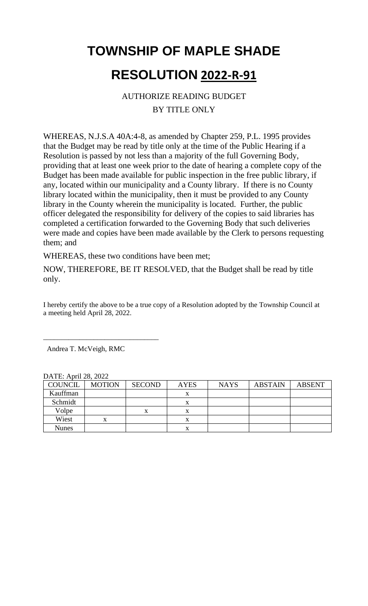### AUTHORIZE READING BUDGET BY TITLE ONLY

WHEREAS, N.J.S.A 40A:4-8, as amended by Chapter 259, P.L. 1995 provides that the Budget may be read by title only at the time of the Public Hearing if a Resolution is passed by not less than a majority of the full Governing Body, providing that at least one week prior to the date of hearing a complete copy of the Budget has been made available for public inspection in the free public library, if any, located within our municipality and a County library. If there is no County library located within the municipality, then it must be provided to any County library in the County wherein the municipality is located. Further, the public officer delegated the responsibility for delivery of the copies to said libraries has completed a certification forwarded to the Governing Body that such deliveries were made and copies have been made available by the Clerk to persons requesting them; and

WHEREAS, these two conditions have been met;

NOW, THEREFORE, BE IT RESOLVED, that the Budget shall be read by title only.

I hereby certify the above to be a true copy of a Resolution adopted by the Township Council at a meeting held April 28, 2022.

Andrea T. McVeigh, RMC

\_\_\_\_\_\_\_\_\_\_\_\_\_\_\_\_\_\_\_\_\_\_\_\_\_\_\_\_\_\_\_\_

| $D_{\text{L}}$ LL, $D_{\text{L}}$ lli $\angle 0$ , $\angle 0\angle 2$ |               |               |             |             |                |               |  |
|-----------------------------------------------------------------------|---------------|---------------|-------------|-------------|----------------|---------------|--|
| <b>COUNCIL</b>                                                        | <b>MOTION</b> | <b>SECOND</b> | <b>AYES</b> | <b>NAYS</b> | <b>ABSTAIN</b> | <b>ABSENT</b> |  |
| Kauffman                                                              |               |               | x           |             |                |               |  |
| Schmidt                                                               |               |               | x           |             |                |               |  |
| Volpe                                                                 |               |               | x           |             |                |               |  |
| Wiest                                                                 | X             |               | x           |             |                |               |  |
| <b>Nunes</b>                                                          |               |               | л           |             |                |               |  |

DATE: April 28, 2022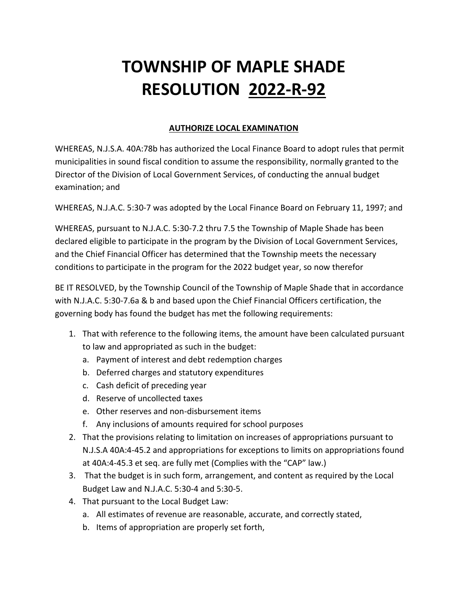#### **AUTHORIZE LOCAL EXAMINATION**

WHEREAS, N.J.S.A. 40A:78b has authorized the Local Finance Board to adopt rules that permit municipalities in sound fiscal condition to assume the responsibility, normally granted to the Director of the Division of Local Government Services, of conducting the annual budget examination; and

WHEREAS, N.J.A.C. 5:30-7 was adopted by the Local Finance Board on February 11, 1997; and

WHEREAS, pursuant to N.J.A.C. 5:30-7.2 thru 7.5 the Township of Maple Shade has been declared eligible to participate in the program by the Division of Local Government Services, and the Chief Financial Officer has determined that the Township meets the necessary conditions to participate in the program for the 2022 budget year, so now therefor

BE IT RESOLVED, by the Township Council of the Township of Maple Shade that in accordance with N.J.A.C. 5:30-7.6a & b and based upon the Chief Financial Officers certification, the governing body has found the budget has met the following requirements:

- 1. That with reference to the following items, the amount have been calculated pursuant to law and appropriated as such in the budget:
	- a. Payment of interest and debt redemption charges
	- b. Deferred charges and statutory expenditures
	- c. Cash deficit of preceding year
	- d. Reserve of uncollected taxes
	- e. Other reserves and non-disbursement items
	- f. Any inclusions of amounts required for school purposes
- 2. That the provisions relating to limitation on increases of appropriations pursuant to N.J.S.A 40A:4-45.2 and appropriations for exceptions to limits on appropriations found at 40A:4-45.3 et seq. are fully met (Complies with the "CAP" law.)
- 3. That the budget is in such form, arrangement, and content as required by the Local Budget Law and N.J.A.C. 5:30-4 and 5:30-5.
- 4. That pursuant to the Local Budget Law:
	- a. All estimates of revenue are reasonable, accurate, and correctly stated,
	- b. Items of appropriation are properly set forth,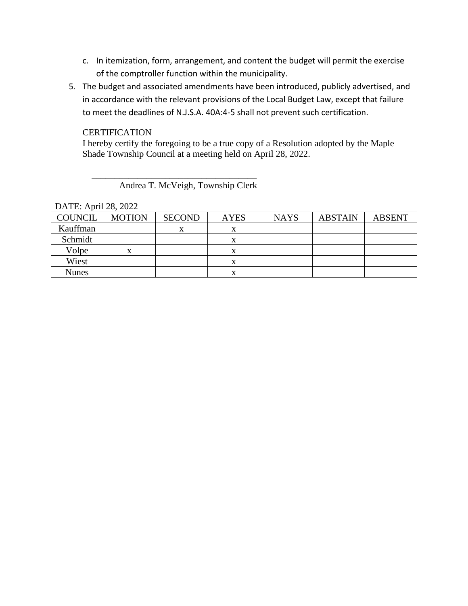- c. In itemization, form, arrangement, and content the budget will permit the exercise of the comptroller function within the municipality.
- 5. The budget and associated amendments have been introduced, publicly advertised, and in accordance with the relevant provisions of the Local Budget Law, except that failure to meet the deadlines of N.J.S.A. 40A:4-5 shall not prevent such certification.

#### **CERTIFICATION**

I hereby certify the foregoing to be a true copy of a Resolution adopted by the Maple Shade Township Council at a meeting held on April 28, 2022.

Andrea T. McVeigh, Township Clerk

 $\overline{\phantom{a}}$  , which is the set of the set of the set of the set of the set of the set of the set of the set of the set of the set of the set of the set of the set of the set of the set of the set of the set of the set of

DATE: April 28, 2022

| <b>COUNCIL</b> | <b>MOTION</b> | <b>SECOND</b> | <b>AYES</b> | <b>NAYS</b> | <b>ABSTAIN</b> | <b>ABSENT</b> |
|----------------|---------------|---------------|-------------|-------------|----------------|---------------|
| Kauffman       |               |               | л           |             |                |               |
| Schmidt        |               |               | х           |             |                |               |
| Volpe          | x             |               | л           |             |                |               |
| Wiest          |               |               | x           |             |                |               |
| <b>Nunes</b>   |               |               | x           |             |                |               |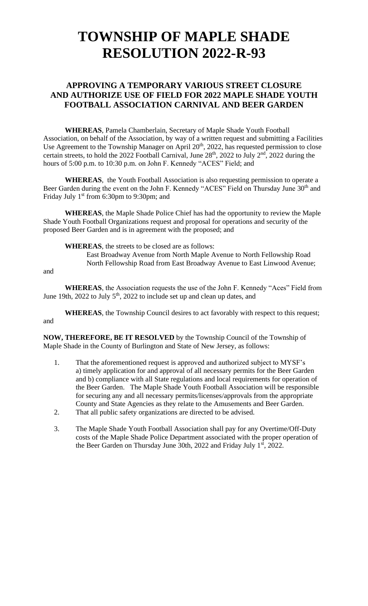### **APPROVING A TEMPORARY VARIOUS STREET CLOSURE AND AUTHORIZE USE OF FIELD FOR 2022 MAPLE SHADE YOUTH FOOTBALL ASSOCIATION CARNIVAL AND BEER GARDEN**

**WHEREAS**, Pamela Chamberlain, Secretary of Maple Shade Youth Football Association, on behalf of the Association, by way of a written request and submitting a Facilities Use Agreement to the Township Manager on April  $20<sup>th</sup>$ ,  $2022$ , has requested permission to close certain streets, to hold the 2022 Football Carnival, June  $28<sup>th</sup>$ , 2022 to July  $2<sup>nd</sup>$ , 2022 during the hours of 5:00 p.m. to 10:30 p.m. on John F. Kennedy "ACES" Field; and

**WHEREAS**, the Youth Football Association is also requesting permission to operate a Beer Garden during the event on the John F. Kennedy "ACES" Field on Thursday June 30<sup>th</sup> and Friday July 1<sup>st</sup> from 6:30pm to 9:30pm; and

**WHEREAS**, the Maple Shade Police Chief has had the opportunity to review the Maple Shade Youth Football Organizations request and proposal for operations and security of the proposed Beer Garden and is in agreement with the proposed; and

**WHEREAS**, the streets to be closed are as follows:

East Broadway Avenue from North Maple Avenue to North Fellowship Road North Fellowship Road from East Broadway Avenue to East Linwood Avenue;

and

**WHEREAS**, the Association requests the use of the John F. Kennedy "Aces" Field from June 19th, 2022 to July  $5<sup>th</sup>$ , 2022 to include set up and clean up dates, and

**WHEREAS**, the Township Council desires to act favorably with respect to this request; and

**NOW, THEREFORE, BE IT RESOLVED** by the Township Council of the Township of Maple Shade in the County of Burlington and State of New Jersey, as follows:

- 1. That the aforementioned request is approved and authorized subject to MYSF's a) timely application for and approval of all necessary permits for the Beer Garden and b) compliance with all State regulations and local requirements for operation of the Beer Garden. The Maple Shade Youth Football Association will be responsible for securing any and all necessary permits/licenses/approvals from the appropriate County and State Agencies as they relate to the Amusements and Beer Garden.
- 2. That all public safety organizations are directed to be advised.
- 3. The Maple Shade Youth Football Association shall pay for any Overtime/Off-Duty costs of the Maple Shade Police Department associated with the proper operation of the Beer Garden on Thursday June  $30th$ , 2022 and Friday July  $1<sup>st</sup>$ , 2022.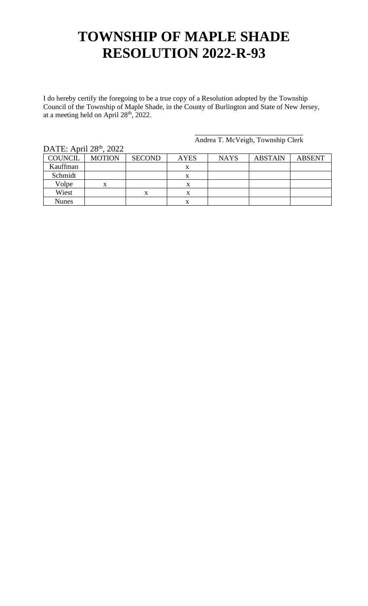I do hereby certify the foregoing to be a true copy of a Resolution adopted by the Township Council of the Township of Maple Shade, in the County of Burlington and State of New Jersey, at a meeting held on April  $28<sup>th</sup>$ , 2022.

 $\text{DATF: April } 28^{\text{th}}$ , 2022

Andrea T. McVeigh, Township Clerk

| DAIL, APIII $\angle 0$ , $\angle 0$ |               |               |             |             |                |               |
|-------------------------------------|---------------|---------------|-------------|-------------|----------------|---------------|
| <b>COUNCIL</b>                      | <b>MOTION</b> | <b>SECOND</b> | <b>AYES</b> | <b>NAYS</b> | <b>ABSTAIN</b> | <b>ABSENT</b> |
| Kauffman                            |               |               | x           |             |                |               |
| Schmidt                             |               |               | x           |             |                |               |
| Volpe                               | X             |               | л           |             |                |               |
| Wiest                               |               |               |             |             |                |               |
| <b>Nunes</b>                        |               |               | x           |             |                |               |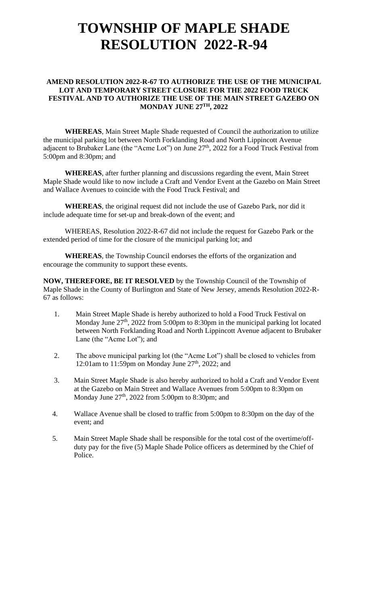#### **AMEND RESOLUTION 2022-R-67 TO AUTHORIZE THE USE OF THE MUNICIPAL LOT AND TEMPORARY STREET CLOSURE FOR THE 2022 FOOD TRUCK FESTIVAL AND TO AUTHORIZE THE USE OF THE MAIN STREET GAZEBO ON MONDAY JUNE 27TH, 2022**

**WHEREAS**, Main Street Maple Shade requested of Council the authorization to utilize the municipal parking lot between North Forklanding Road and North Lippincott Avenue adjacent to Brubaker Lane (the "Acme Lot") on June 27<sup>th</sup>, 2022 for a Food Truck Festival from 5:00pm and 8:30pm; and

**WHEREAS**, after further planning and discussions regarding the event, Main Street Maple Shade would like to now include a Craft and Vendor Event at the Gazebo on Main Street and Wallace Avenues to coincide with the Food Truck Festival; and

**WHEREAS**, the original request did not include the use of Gazebo Park, nor did it include adequate time for set-up and break-down of the event; and

WHEREAS, Resolution 2022-R-67 did not include the request for Gazebo Park or the extended period of time for the closure of the municipal parking lot; and

**WHEREAS**, the Township Council endorses the efforts of the organization and encourage the community to support these events.

**NOW, THEREFORE, BE IT RESOLVED** by the Township Council of the Township of Maple Shade in the County of Burlington and State of New Jersey, amends Resolution 2022-R-67 as follows:

- 1. Main Street Maple Shade is hereby authorized to hold a Food Truck Festival on Monday June  $27<sup>th</sup>$ , 2022 from 5:00pm to 8:30pm in the municipal parking lot located between North Forklanding Road and North Lippincott Avenue adjacent to Brubaker Lane (the "Acme Lot"); and
- 2. The above municipal parking lot (the "Acme Lot") shall be closed to vehicles from 12:01am to 11:59pm on Monday June  $27<sup>th</sup>$ , 2022; and
- 3. Main Street Maple Shade is also hereby authorized to hold a Craft and Vendor Event at the Gazebo on Main Street and Wallace Avenues from 5:00pm to 8:30pm on Monday June  $27<sup>th</sup>$ , 2022 from 5:00pm to 8:30pm; and
- 4. Wallace Avenue shall be closed to traffic from 5:00pm to 8:30pm on the day of the event; and
- 5. Main Street Maple Shade shall be responsible for the total cost of the overtime/off duty pay for the five (5) Maple Shade Police officers as determined by the Chief of Police.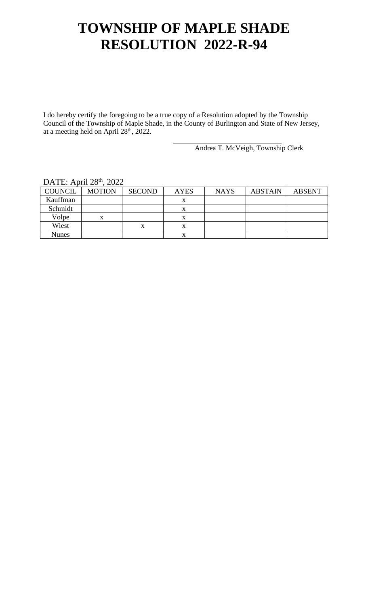I do hereby certify the foregoing to be a true copy of a Resolution adopted by the Township Council of the Township of Maple Shade, in the County of Burlington and State of New Jersey, at a meeting held on April  $28<sup>th</sup>$ , 2022.

Andrea T. McVeigh, Township Clerk

| DAIL, APIII $\angle 0$ , $\angle 0/2$ |               |                   |             |             |                |               |
|---------------------------------------|---------------|-------------------|-------------|-------------|----------------|---------------|
| <b>COUNCIL</b>                        | <b>MOTION</b> | <b>SECOND</b>     | <b>AYES</b> | <b>NAYS</b> | <b>ABSTAIN</b> | <b>ABSENT</b> |
| Kauffman                              |               |                   |             |             |                |               |
| Schmidt                               |               |                   |             |             |                |               |
| Volpe                                 | X             |                   |             |             |                |               |
| Wiest                                 |               | $\mathbf{v}$<br>л | л           |             |                |               |
| <b>Nunes</b>                          |               |                   |             |             |                |               |

#### DATE: April 28<sup>th</sup>, 2022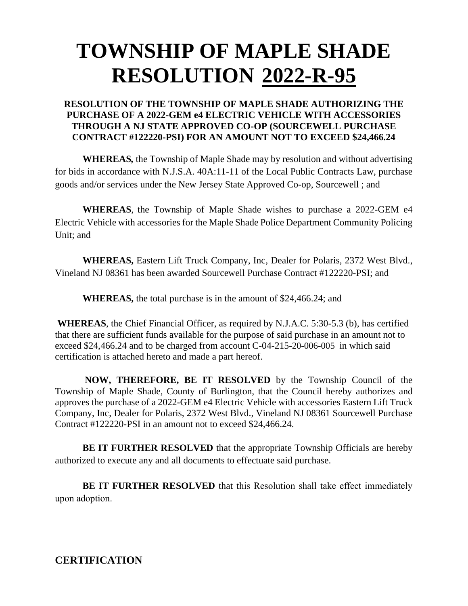#### **RESOLUTION OF THE TOWNSHIP OF MAPLE SHADE AUTHORIZING THE PURCHASE OF A 2022-GEM e4 ELECTRIC VEHICLE WITH ACCESSORIES THROUGH A NJ STATE APPROVED CO-OP (SOURCEWELL PURCHASE CONTRACT #122220-PSI) FOR AN AMOUNT NOT TO EXCEED \$24,466.24**

**WHEREAS***,* the Township of Maple Shade may by resolution and without advertising for bids in accordance with N.J.S.A. 40A:11-11 of the Local Public Contracts Law, purchase goods and/or services under the New Jersey State Approved Co-op, Sourcewell ; and

**WHEREAS**, the Township of Maple Shade wishes to purchase a 2022-GEM e4 Electric Vehicle with accessories for the Maple Shade Police Department Community Policing Unit; and

**WHEREAS,** Eastern Lift Truck Company, Inc, Dealer for Polaris, 2372 West Blvd., Vineland NJ 08361 has been awarded Sourcewell Purchase Contract #122220-PSI; and

**WHEREAS,** the total purchase is in the amount of \$24,466.24; and

**WHEREAS**, the Chief Financial Officer, as required by N.J.A.C. 5:30-5.3 (b), has certified that there are sufficient funds available for the purpose of said purchase in an amount not to exceed \$24,466.24 and to be charged from account C-04-215-20-006-005 in which said certification is attached hereto and made a part hereof.

**NOW, THEREFORE, BE IT RESOLVED** by the Township Council of the Township of Maple Shade, County of Burlington, that the Council hereby authorizes and approves the purchase of a 2022-GEM e4 Electric Vehicle with accessories Eastern Lift Truck Company, Inc, Dealer for Polaris, 2372 West Blvd., Vineland NJ 08361 Sourcewell Purchase Contract #122220-PSI in an amount not to exceed \$24,466.24.

**BE IT FURTHER RESOLVED** that the appropriate Township Officials are hereby authorized to execute any and all documents to effectuate said purchase.

**BE IT FURTHER RESOLVED** that this Resolution shall take effect immediately upon adoption.

**CERTIFICATION**